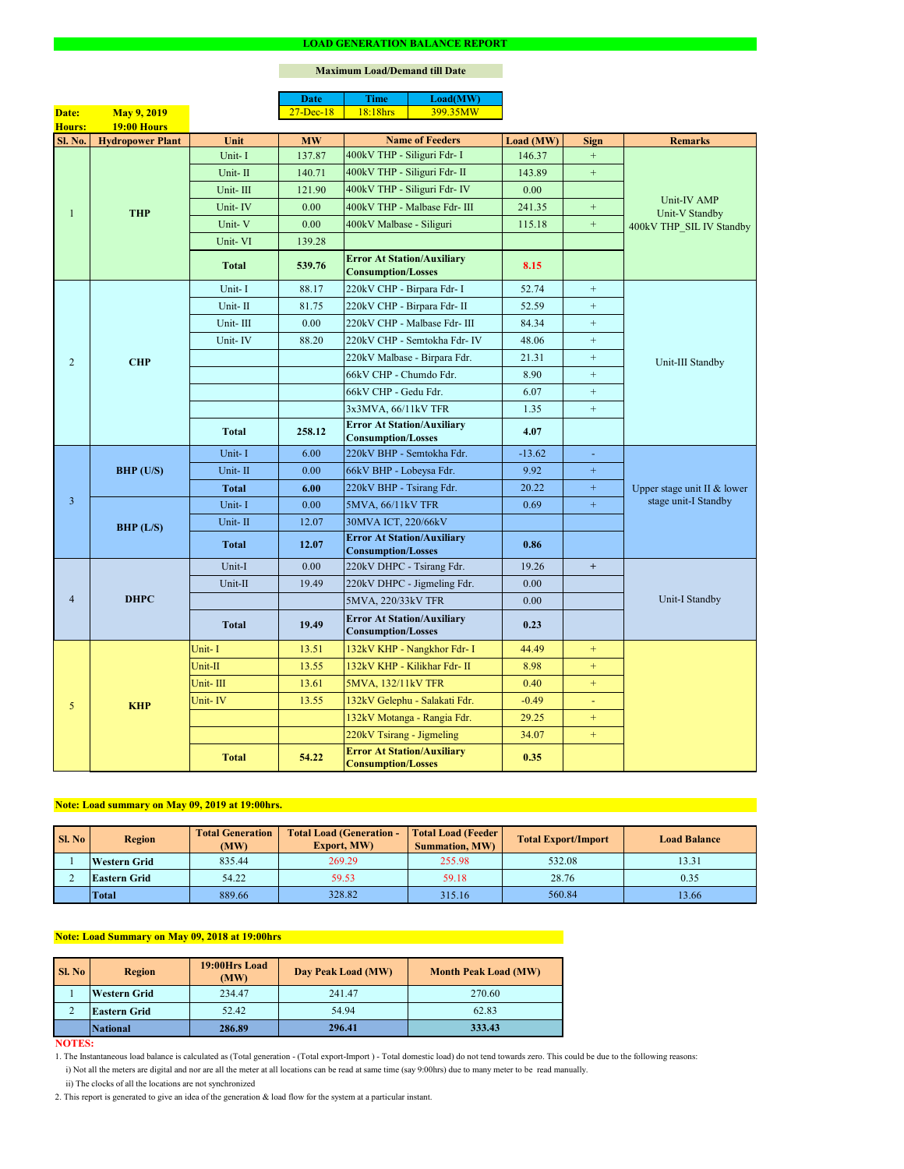#### **NOTES:**

2. This report is generated to give an idea of the generation & load flow for the system at a particular instant.

### **Maximum Load/Demand till Date**

ii) The clocks of all the locations are not synchronized

1. The Instantaneous load balance is calculated as (Total generation - (Total export-Import ) - Total domestic load) do not tend towards zero. This could be due to the following reasons:

| Sl. No | <b>Region</b>       | <b>Total Generation</b><br>(MW) | <b>Total Load (Generation -</b><br><b>Export, MW)</b> | <b>Total Load (Feeder)</b><br><b>Summation, MW)</b> | <b>Total Export/Import</b> | <b>Load Balance</b> |
|--------|---------------------|---------------------------------|-------------------------------------------------------|-----------------------------------------------------|----------------------------|---------------------|
|        | <b>Western Grid</b> | 835.44                          | 269.29                                                | 255.98                                              | 532.08                     | 13.31               |
|        | <b>Eastern Grid</b> | 54.22                           | 59.53                                                 | 59.18                                               | 28.76                      | 0.35                |
|        | <i><b>Total</b></i> | 889.66                          | 328.82                                                | 315.16                                              | 560.84                     | 13.66               |

|                |                         |              | <b>Date</b>   | <b>Time</b>                                                    | Load(MW)                      |           |                             |                             |  |
|----------------|-------------------------|--------------|---------------|----------------------------------------------------------------|-------------------------------|-----------|-----------------------------|-----------------------------|--|
| Date:          | <b>May 9, 2019</b>      |              | $27 - Dec-18$ | 18:18hrs                                                       | 399.35MW                      |           |                             |                             |  |
| Hours:         | <b>19:00 Hours</b>      |              |               |                                                                |                               |           |                             |                             |  |
| <b>Sl. No.</b> | <b>Hydropower Plant</b> | Unit         | <b>MW</b>     |                                                                | <b>Name of Feeders</b>        | Load (MW) | <b>Sign</b>                 | <b>Remarks</b>              |  |
|                | <b>THP</b>              | Unit-I       | 137.87        | 400kV THP - Siliguri Fdr- I                                    |                               | 146.37    | $+$                         |                             |  |
|                |                         | Unit-II      | 140.71        | 400kV THP - Siliguri Fdr- II                                   |                               | 143.89    | $\boldsymbol{+}$            |                             |  |
|                |                         | Unit-III     | 121.90        |                                                                | 400kV THP - Siliguri Fdr- IV  | 0.00      |                             | Unit-IV AMP                 |  |
|                |                         | Unit-IV      | 0.00          |                                                                | 400kV THP - Malbase Fdr- III  | 241.35    | $\boldsymbol{+}$            | Unit-V Standby              |  |
|                |                         | Unit-V       | 0.00          | 400kV Malbase - Siliguri                                       |                               | 115.18    | $\boldsymbol{+}$            | 400kV THP_SIL IV Standby    |  |
|                |                         | Unit-VI      | 139.28        |                                                                |                               |           |                             |                             |  |
|                |                         | <b>Total</b> | 539.76        | <b>Error At Station/Auxiliary</b><br><b>Consumption/Losses</b> |                               | 8.15      |                             |                             |  |
|                |                         | Unit-I       | 88.17         | 220kV CHP - Birpara Fdr- I                                     |                               | 52.74     | $\boldsymbol{+}$            |                             |  |
|                |                         | Unit-II      | 81.75         |                                                                | 220kV CHP - Birpara Fdr- II   | 52.59     | $+$                         |                             |  |
|                |                         | Unit-III     | 0.00          |                                                                | 220kV CHP - Malbase Fdr- III  | 84.34     | $\boldsymbol{+}$            |                             |  |
|                |                         | Unit-IV      | 88.20         |                                                                | 220kV CHP - Semtokha Fdr- IV  | 48.06     | $\boldsymbol{+}$            |                             |  |
| $\overline{2}$ | <b>CHP</b>              |              |               |                                                                | 220kV Malbase - Birpara Fdr.  | 21.31     | $\boldsymbol{+}$            | Unit-III Standby            |  |
|                |                         |              |               | 66kV CHP - Chumdo Fdr.                                         |                               | 8.90      | $+$                         |                             |  |
|                |                         |              |               | 66kV CHP - Gedu Fdr.                                           |                               | 6.07      | $+$                         |                             |  |
|                |                         |              |               | 3x3MVA, 66/11kV TFR                                            |                               | 1.35      | $\boldsymbol{+}$            |                             |  |
|                |                         | <b>Total</b> | 258.12        | <b>Error At Station/Auxiliary</b><br><b>Consumption/Losses</b> |                               | 4.07      |                             |                             |  |
|                | BHP (U/S)               | Unit-I       | 6.00          | 220kV BHP - Semtokha Fdr.                                      |                               | $-13.62$  | $\mathcal{L}_{\mathcal{A}}$ |                             |  |
|                |                         | Unit-II      | 0.00          | 66kV BHP - Lobeysa Fdr.                                        |                               | 9.92      | $\boldsymbol{+}$            |                             |  |
|                |                         | Total        | 6.00          | 220kV BHP - Tsirang Fdr.                                       |                               | 20.22     | $+$                         | Upper stage unit II & lower |  |
| $\overline{3}$ |                         | Unit-I       | 0.00          | 5MVA, 66/11kV TFR                                              |                               | 0.69      | $+$                         | stage unit-I Standby        |  |
|                | BHP (L/S)               | Unit-II      | 12.07         | 30MVA ICT, 220/66kV                                            |                               |           |                             |                             |  |
|                |                         | <b>Total</b> | 12.07         | <b>Error At Station/Auxiliary</b><br><b>Consumption/Losses</b> |                               | 0.86      |                             |                             |  |
|                | <b>DHPC</b>             | Unit-I       | 0.00          | 220kV DHPC - Tsirang Fdr.                                      |                               | 19.26     | $+$                         |                             |  |
|                |                         | Unit-II      | 19.49         |                                                                | 220kV DHPC - Jigmeling Fdr.   | 0.00      |                             |                             |  |
| $\overline{4}$ |                         |              |               | 5MVA, 220/33kV TFR                                             |                               | 0.00      |                             | Unit-I Standby              |  |
|                |                         | <b>Total</b> | 19.49         | <b>Error At Station/Auxiliary</b><br><b>Consumption/Losses</b> |                               | 0.23      |                             |                             |  |
|                |                         | Unit-I       | 13.51         |                                                                | 132kV KHP - Nangkhor Fdr- I   | 44.49     | $+$                         |                             |  |
|                |                         | Unit-II      | 13.55         |                                                                | 132kV KHP - Kilikhar Fdr- II  | 8.98      | $+$                         |                             |  |
|                |                         | Unit-III     | 13.61         | 5MVA, 132/11kV TFR                                             |                               | 0.40      | $+$                         |                             |  |
| 5              | <b>KHP</b>              | Unit-IV      | 13.55         |                                                                | 132kV Gelephu - Salakati Fdr. | $-0.49$   | ÷.                          |                             |  |
|                |                         |              |               |                                                                | 132kV Motanga - Rangia Fdr.   | 29.25     | $+$                         |                             |  |
|                |                         |              |               | 220kV Tsirang - Jigmeling                                      |                               | 34.07     | $+$                         |                             |  |
|                |                         | <b>Total</b> | 54.22         | <b>Error At Station/Auxiliary</b><br><b>Consumption/Losses</b> |                               | 0.35      |                             |                             |  |

| SI. No | <b>Region</b>       | 19:00Hrs Load<br>(MW) | Day Peak Load (MW) | <b>Month Peak Load (MW)</b> |
|--------|---------------------|-----------------------|--------------------|-----------------------------|
|        | <b>Western Grid</b> | 234.47                | 241.47             | 270.60                      |
|        | <b>Eastern Grid</b> | 52.42                 | 54.94              | 62.83                       |
|        | <i>National</i>     | 286.89                | 296.41             | 333.43                      |

# **Note: Load summary on May 09, 2019 at 19:00hrs.**

i) Not all the meters are digital and nor are all the meter at all locations can be read at same time (say 9:00hrs) due to many meter to be read manually.

# **Note: Load Summary on May 09, 2018 at 19:00hrs**

#### **LOAD GENERATION BALANCE REPORT**